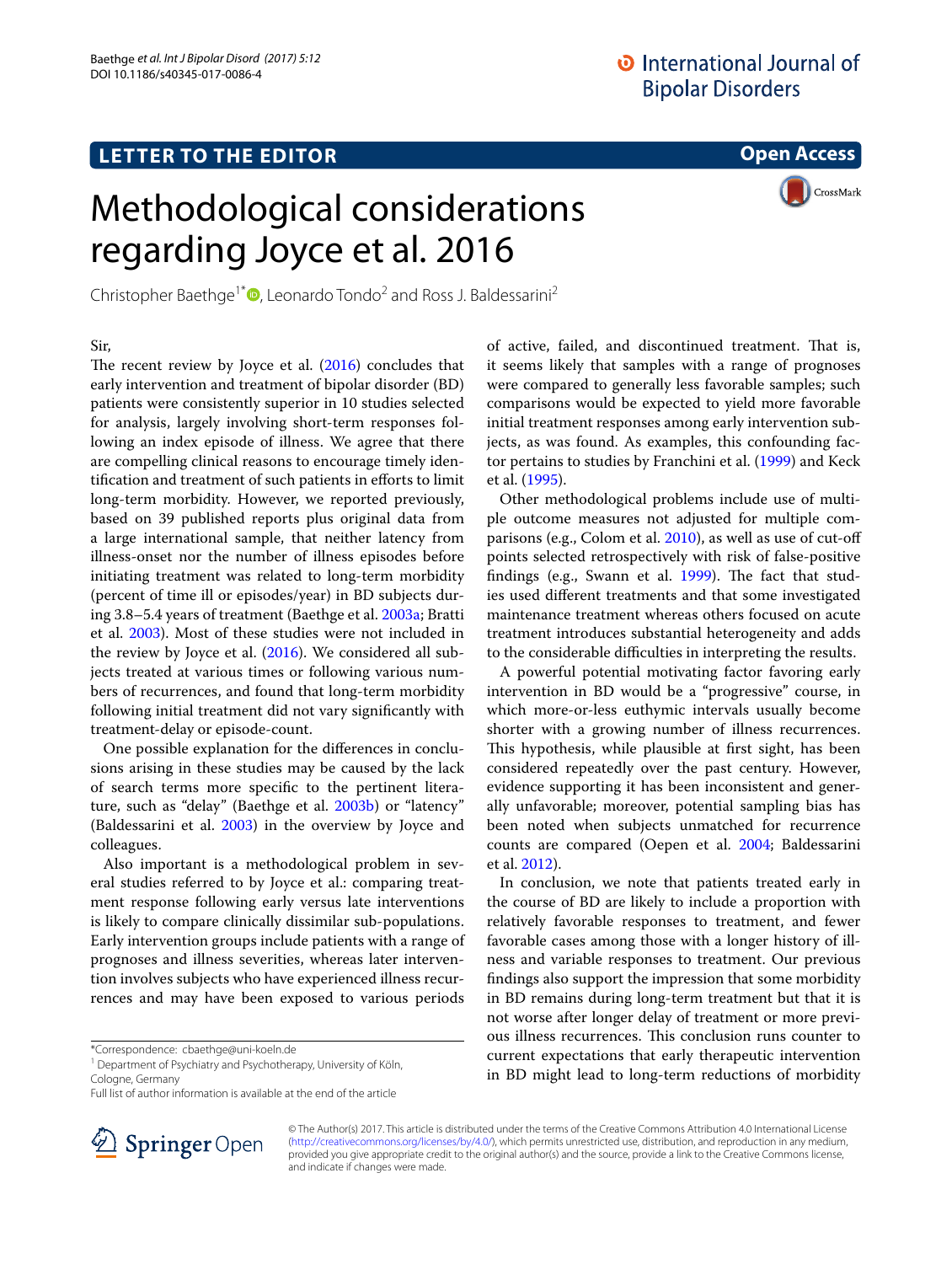## **LETTER TO THE EDITOR**

**Open Access**

# Methodological considerations regarding Joyce et al. 2016

Christopher Baethge<sup>1\*</sup><sup>®</sup>[,](http://orcid.org/0000-0001-6246-3674) Leonardo Tondo<sup>2</sup> and Ross J. Baldessarini<sup>2</sup>

**CrossMark** 

Sir,

The recent review by Joyce et al.  $(2016)$  concludes that early intervention and treatment of bipolar disorder (BD) patients were consistently superior in 10 studies selected for analysis, largely involving short-term responses following an index episode of illness. We agree that there are compelling clinical reasons to encourage timely identifcation and treatment of such patients in eforts to limit long-term morbidity. However, we reported previously, based on 39 published reports plus original data from a large international sample, that neither latency from illness-onset nor the number of illness episodes before initiating treatment was related to long-term morbidity (percent of time ill or episodes/year) in BD subjects during 3.8–5.4 years of treatment (Baethge et al. [2003a](#page-1-1); Bratti et al. [2003](#page-1-2)). Most of these studies were not included in the review by Joyce et al. [\(2016\)](#page-1-0). We considered all subjects treated at various times or following various numbers of recurrences, and found that long-term morbidity following initial treatment did not vary signifcantly with treatment-delay or episode-count.

One possible explanation for the diferences in conclusions arising in these studies may be caused by the lack of search terms more specifc to the pertinent literature, such as "delay" (Baethge et al. [2003b](#page-1-3)) or "latency" (Baldessarini et al. [2003](#page-1-4)) in the overview by Joyce and colleagues.

Also important is a methodological problem in several studies referred to by Joyce et al.: comparing treatment response following early versus late interventions is likely to compare clinically dissimilar sub-populations. Early intervention groups include patients with a range of prognoses and illness severities, whereas later intervention involves subjects who have experienced illness recurrences and may have been exposed to various periods

\*Correspondence: cbaethge@uni‑koeln.de

<sup>1</sup> Department of Psychiatry and Psychotherapy, University of Köln,

Cologne, Germany



Other methodological problems include use of multiple outcome measures not adjusted for multiple comparisons (e.g., Colom et al. [2010\)](#page-1-7), as well as use of cut-of points selected retrospectively with risk of false-positive findings (e.g., Swann et al. [1999](#page-1-8)). The fact that studies used diferent treatments and that some investigated maintenance treatment whereas others focused on acute treatment introduces substantial heterogeneity and adds to the considerable difficulties in interpreting the results.

A powerful potential motivating factor favoring early intervention in BD would be a "progressive" course, in which more-or-less euthymic intervals usually become shorter with a growing number of illness recurrences. This hypothesis, while plausible at first sight, has been considered repeatedly over the past century. However, evidence supporting it has been inconsistent and generally unfavorable; moreover, potential sampling bias has been noted when subjects unmatched for recurrence counts are compared (Oepen et al. [2004](#page-1-9); Baldessarini et al. [2012](#page-1-10)).

In conclusion, we note that patients treated early in the course of BD are likely to include a proportion with relatively favorable responses to treatment, and fewer favorable cases among those with a longer history of illness and variable responses to treatment. Our previous fndings also support the impression that some morbidity in BD remains during long-term treatment but that it is not worse after longer delay of treatment or more previous illness recurrences. This conclusion runs counter to current expectations that early therapeutic intervention in BD might lead to long-term reductions of morbidity



© The Author(s) 2017. This article is distributed under the terms of the Creative Commons Attribution 4.0 International License [\(http://creativecommons.org/licenses/by/4.0/\)](http://creativecommons.org/licenses/by/4.0/), which permits unrestricted use, distribution, and reproduction in any medium, provided you give appropriate credit to the original author(s) and the source, provide a link to the Creative Commons license, and indicate if changes were made.

Full list of author information is available at the end of the article